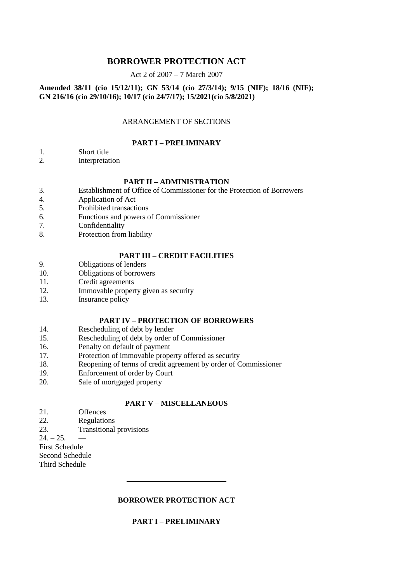# **BORROWER PROTECTION ACT**

# Act 2 of 2007 – 7 March 2007

# **Amended 38/11 (cio 15/12/11); GN 53/14 (cio 27/3/14); 9/15 (NIF); 18/16 (NIF); GN 216/16 (cio 29/10/16); 10/17 (cio 24/7/17); 15/2021(cio 5/8/2021)**

## ARRANGEMENT OF SECTIONS

## **PART I – PRELIMINARY**

- 1. Short title<br>2. Interpretat
- Interpretation

### **PART II – ADMINISTRATION**

- 3. Establishment of Office of Commissioner for the Protection of Borrowers
- 4. Application of Act
- 5. Prohibited transactions
- 6. Functions and powers of Commissioner
- 7. Confidentiality<br>8. Protection from
- Protection from liability

# **PART III – CREDIT FACILITIES**

- 9. Obligations of lenders
- 10. Obligations of borrowers
- 11. Credit agreements
- 12. Immovable property given as security
- 13. Insurance policy

## **PART IV – PROTECTION OF BORROWERS**

- 14. Rescheduling of debt by lender
- 15. Rescheduling of debt by order of Commissioner
- 16. Penalty on default of payment
- 17. Protection of immovable property offered as security
- 18. Reopening of terms of credit agreement by order of Commissioner
- 19. Enforcement of order by Court
- 20. Sale of mortgaged property

# **PART V – MISCELLANEOUS**

- 21. Offences
- 22. Regulations
- 23. Transitional provisions

 $24 - 25$  —

First Schedule Second Schedule

Third Schedule

# **BORROWER PROTECTION ACT**

# **PART I – PRELIMINARY**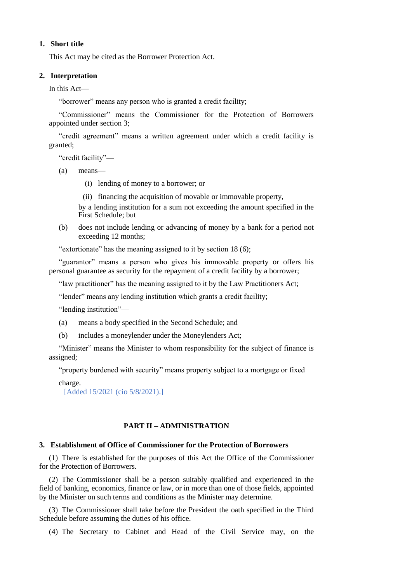# **1. Short title**

This Act may be cited as the Borrower Protection Act.

### **2. Interpretation**

In this Act—

"borrower" means any person who is granted a credit facility;

"Commissioner" means the Commissioner for the Protection of Borrowers appointed under section 3;

"credit agreement" means a written agreement under which a credit facility is granted;

"credit facility"—

- (a) means—
	- (i) lending of money to a borrower; or
	- (ii) financing the acquisition of movable or immovable property,

by a lending institution for a sum not exceeding the amount specified in the First Schedule; but

(b) does not include lending or advancing of money by a bank for a period not exceeding 12 months;

"extortionate" has the meaning assigned to it by section 18 (6);

"guarantor" means a person who gives his immovable property or offers his personal guarantee as security for the repayment of a credit facility by a borrower;

"law practitioner" has the meaning assigned to it by the Law Practitioners Act;

"lender" means any lending institution which grants a credit facility;

"lending institution"—

- (a) means a body specified in the Second Schedule; and
- (b) includes a moneylender under the Moneylenders Act;

"Minister" means the Minister to whom responsibility for the subject of finance is assigned;

"property burdened with security" means property subject to a mortgage or fixed

charge.

[Added 15/2021 (cio 5/8/2021).]

### **PART II – ADMINISTRATION**

#### **3. Establishment of Office of Commissioner for the Protection of Borrowers**

(1) There is established for the purposes of this Act the Office of the Commissioner for the Protection of Borrowers.

(2) The Commissioner shall be a person suitably qualified and experienced in the field of banking, economics, finance or law, or in more than one of those fields, appointed by the Minister on such terms and conditions as the Minister may determine.

(3) The Commissioner shall take before the President the oath specified in the Third Schedule before assuming the duties of his office.

(4) The Secretary to Cabinet and Head of the Civil Service may, on the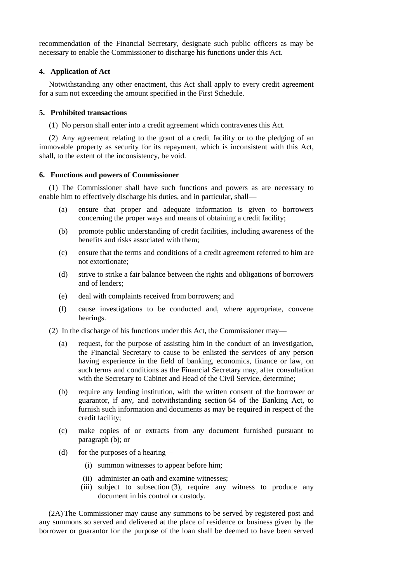recommendation of the Financial Secretary, designate such public officers as may be necessary to enable the Commissioner to discharge his functions under this Act.

# **4. Application of Act**

Notwithstanding any other enactment, this Act shall apply to every credit agreement for a sum not exceeding the amount specified in the First Schedule.

### **5. Prohibited transactions**

(1) No person shall enter into a credit agreement which contravenes this Act.

(2) Any agreement relating to the grant of a credit facility or to the pledging of an immovable property as security for its repayment, which is inconsistent with this Act, shall, to the extent of the inconsistency, be void.

#### **6. Functions and powers of Commissioner**

(1) The Commissioner shall have such functions and powers as are necessary to enable him to effectively discharge his duties, and in particular, shall—

- (a) ensure that proper and adequate information is given to borrowers concerning the proper ways and means of obtaining a credit facility;
- (b) promote public understanding of credit facilities, including awareness of the benefits and risks associated with them;
- (c) ensure that the terms and conditions of a credit agreement referred to him are not extortionate;
- (d) strive to strike a fair balance between the rights and obligations of borrowers and of lenders;
- (e) deal with complaints received from borrowers; and
- (f) cause investigations to be conducted and, where appropriate, convene hearings.
- (2) In the discharge of his functions under this Act, the Commissioner may—
	- (a) request, for the purpose of assisting him in the conduct of an investigation, the Financial Secretary to cause to be enlisted the services of any person having experience in the field of banking, economics, finance or law, on such terms and conditions as the Financial Secretary may, after consultation with the Secretary to Cabinet and Head of the Civil Service, determine;
	- (b) require any lending institution, with the written consent of the borrower or guarantor, if any, and notwithstanding section 64 of the Banking Act, to furnish such information and documents as may be required in respect of the credit facility;
	- (c) make copies of or extracts from any document furnished pursuant to paragraph (b); or
	- (d) for the purposes of a hearing—
		- (i) summon witnesses to appear before him;
		- (ii) administer an oath and examine witnesses;
		- (iii) subject to subsection (3), require any witness to produce any document in his control or custody.

(2A)The Commissioner may cause any summons to be served by registered post and any summons so served and delivered at the place of residence or business given by the borrower or guarantor for the purpose of the loan shall be deemed to have been served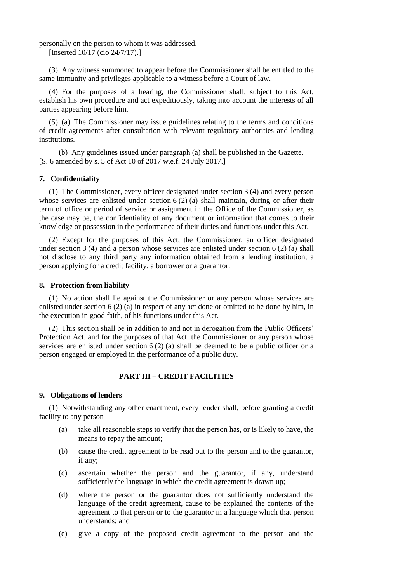personally on the person to whom it was addressed.

[Inserted 10/17 (cio 24/7/17).]

(3) Any witness summoned to appear before the Commissioner shall be entitled to the same immunity and privileges applicable to a witness before a Court of law.

(4) For the purposes of a hearing, the Commissioner shall, subject to this Act, establish his own procedure and act expeditiously, taking into account the interests of all parties appearing before him.

(5) (a) The Commissioner may issue guidelines relating to the terms and conditions of credit agreements after consultation with relevant regulatory authorities and lending institutions.

(b) Any guidelines issued under paragraph (a) shall be published in the Gazette. [S. 6 amended by s. 5 of Act 10 of 2017 w.e.f. 24 July 2017.]

### **7. Confidentiality**

(1) The Commissioner, every officer designated under section 3 (4) and every person whose services are enlisted under section 6 (2) (a) shall maintain, during or after their term of office or period of service or assignment in the Office of the Commissioner, as the case may be, the confidentiality of any document or information that comes to their knowledge or possession in the performance of their duties and functions under this Act.

(2) Except for the purposes of this Act, the Commissioner, an officer designated under section 3 (4) and a person whose services are enlisted under section 6 (2) (a) shall not disclose to any third party any information obtained from a lending institution, a person applying for a credit facility, a borrower or a guarantor.

#### **8. Protection from liability**

(1) No action shall lie against the Commissioner or any person whose services are enlisted under section 6 (2) (a) in respect of any act done or omitted to be done by him, in the execution in good faith, of his functions under this Act.

(2) This section shall be in addition to and not in derogation from the Public Officers' Protection Act, and for the purposes of that Act, the Commissioner or any person whose services are enlisted under section  $6(2)$  (a) shall be deemed to be a public officer or a person engaged or employed in the performance of a public duty.

# **PART III – CREDIT FACILITIES**

### **9. Obligations of lenders**

(1) Notwithstanding any other enactment, every lender shall, before granting a credit facility to any person—

- (a) take all reasonable steps to verify that the person has, or is likely to have, the means to repay the amount;
- (b) cause the credit agreement to be read out to the person and to the guarantor, if any;
- (c) ascertain whether the person and the guarantor, if any, understand sufficiently the language in which the credit agreement is drawn up;
- (d) where the person or the guarantor does not sufficiently understand the language of the credit agreement, cause to be explained the contents of the agreement to that person or to the guarantor in a language which that person understands; and
- (e) give a copy of the proposed credit agreement to the person and the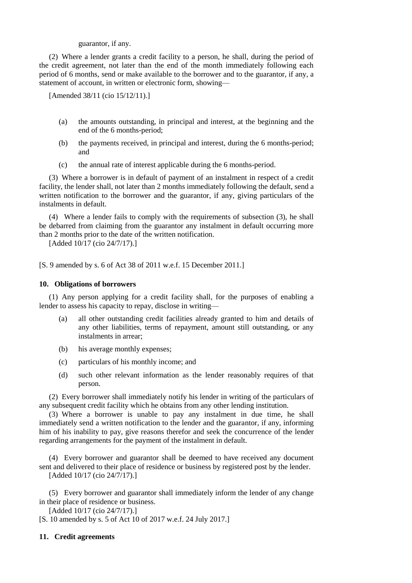guarantor, if any.

(2) Where a lender grants a credit facility to a person, he shall, during the period of the credit agreement, not later than the end of the month immediately following each period of 6 months, send or make available to the borrower and to the guarantor, if any, a statement of account, in written or electronic form, showing—

[Amended 38/11 (cio 15/12/11).]

- (a) the amounts outstanding, in principal and interest, at the beginning and the end of the 6 months-period;
- (b) the payments received, in principal and interest, during the 6 months-period; and
- (c) the annual rate of interest applicable during the 6 months-period.

(3) Where a borrower is in default of payment of an instalment in respect of a credit facility, the lender shall, not later than 2 months immediately following the default, send a written notification to the borrower and the guarantor, if any, giving particulars of the instalments in default.

(4) Where a lender fails to comply with the requirements of subsection (3), he shall be debarred from claiming from the guarantor any instalment in default occurring more than 2 months prior to the date of the written notification.

[Added 10/17 (cio 24/7/17).]

[S. 9 amended by s. 6 of Act 38 of 2011 w.e.f. 15 December 2011.]

### **10. Obligations of borrowers**

(1) Any person applying for a credit facility shall, for the purposes of enabling a lender to assess his capacity to repay, disclose in writing—

- (a) all other outstanding credit facilities already granted to him and details of any other liabilities, terms of repayment, amount still outstanding, or any instalments in arrear;
- (b) his average monthly expenses;
- (c) particulars of his monthly income; and
- (d) such other relevant information as the lender reasonably requires of that person.

(2) Every borrower shall immediately notify his lender in writing of the particulars of any subsequent credit facility which he obtains from any other lending institution.

(3) Where a borrower is unable to pay any instalment in due time, he shall immediately send a written notification to the lender and the guarantor, if any, informing him of his inability to pay, give reasons therefor and seek the concurrence of the lender regarding arrangements for the payment of the instalment in default.

(4) Every borrower and guarantor shall be deemed to have received any document sent and delivered to their place of residence or business by registered post by the lender. [Added 10/17 (cio 24/7/17).]

(5) Every borrower and guarantor shall immediately inform the lender of any change in their place of residence or business.

[Added 10/17 (cio 24/7/17).]

[S. 10 amended by s. 5 of Act 10 of 2017 w.e.f. 24 July 2017.]

### **11. Credit agreements**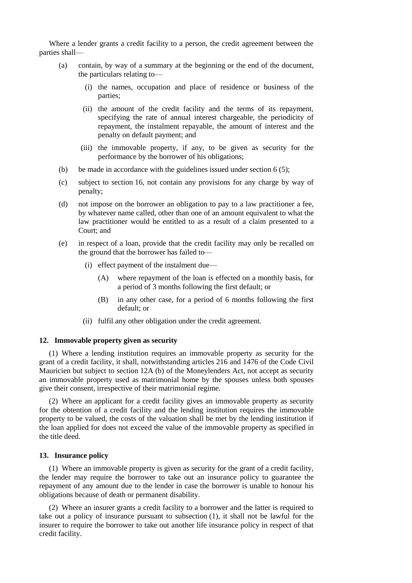Where a lender grants a credit facility to a person, the credit agreement between the parties shall—

- (a) contain, by way of a summary at the beginning or the end of the document, the particulars relating to—
	- (i) the names, occupation and place of residence or business of the parties;
	- (ii) the amount of the credit facility and the terms of its repayment, specifying the rate of annual interest chargeable, the periodicity of repayment, the instalment repayable, the amount of interest and the penalty on default payment; and
	- (iii) the immovable property, if any, to be given as security for the performance by the borrower of his obligations;
- (b) be made in accordance with the guidelines issued under section 6 (5);
- (c) subject to section 16, not contain any provisions for any charge by way of penalty;
- (d) not impose on the borrower an obligation to pay to a law practitioner a fee, by whatever name called, other than one of an amount equivalent to what the law practitioner would be entitled to as a result of a claim presented to a Court; and
- (e) in respect of a loan, provide that the credit facility may only be recalled on the ground that the borrower has failed to—
	- (i) effect payment of the instalment due—
		- (A) where repayment of the loan is effected on a monthly basis, for a period of 3 months following the first default; or
		- (B) in any other case, for a period of 6 months following the first default; or
	- (ii) fulfil any other obligation under the credit agreement.

### **12. Immovable property given as security**

(1) Where a lending institution requires an immovable property as security for the grant of a credit facility, it shall, notwithstanding articles 216 and 1476 of the Code Civil Mauricien but subject to section 12A (b) of the Moneylenders Act, not accept as security an immovable property used as matrimonial home by the spouses unless both spouses give their consent, irrespective of their matrimonial regime.

(2) Where an applicant for a credit facility gives an immovable property as security for the obtention of a credit facility and the lending institution requires the immovable property to be valued, the costs of the valuation shall be met by the lending institution if the loan applied for does not exceed the value of the immovable property as specified in the title deed.

#### **13. Insurance policy**

(1) Where an immovable property is given as security for the grant of a credit facility, the lender may require the borrower to take out an insurance policy to guarantee the repayment of any amount due to the lender in case the borrower is unable to honour his obligations because of death or permanent disability.

(2) Where an insurer grants a credit facility to a borrower and the latter is required to take out a policy of insurance pursuant to subsection (1), it shall not be lawful for the insurer to require the borrower to take out another life insurance policy in respect of that credit facility.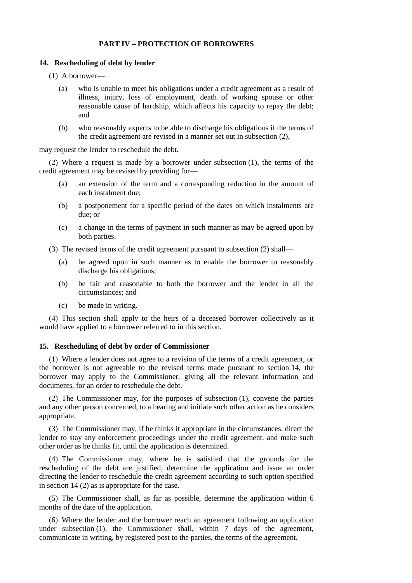## **PART IV – PROTECTION OF BORROWERS**

#### **14. Rescheduling of debt by lender**

- (1) A borrower—
	- (a) who is unable to meet his obligations under a credit agreement as a result of illness, injury, loss of employment, death of working spouse or other reasonable cause of hardship, which affects his capacity to repay the debt; and
	- (b) who reasonably expects to be able to discharge his obligations if the terms of the credit agreement are revised in a manner set out in subsection (2),

may request the lender to reschedule the debt.

(2) Where a request is made by a borrower under subsection (1), the terms of the credit agreement may be revised by providing for—

- (a) an extension of the term and a corresponding reduction in the amount of each instalment due;
- (b) a postponement for a specific period of the dates on which instalments are due; or
- (c) a change in the terms of payment in such manner as may be agreed upon by both parties.

(3) The revised terms of the credit agreement pursuant to subsection (2) shall—

- (a) be agreed upon in such manner as to enable the borrower to reasonably discharge his obligations;
- (b) be fair and reasonable to both the borrower and the lender in all the circumstances; and
- (c) be made in writing.

(4) This section shall apply to the heirs of a deceased borrower collectively as it would have applied to a borrower referred to in this section.

## **15. Rescheduling of debt by order of Commissioner**

(1) Where a lender does not agree to a revision of the terms of a credit agreement, or the borrower is not agreeable to the revised terms made pursuant to section 14, the borrower may apply to the Commissioner, giving all the relevant information and documents, for an order to reschedule the debt.

(2) The Commissioner may, for the purposes of subsection (1), convene the parties and any other person concerned, to a hearing and initiate such other action as he considers appropriate.

(3) The Commissioner may, if he thinks it appropriate in the circumstances, direct the lender to stay any enforcement proceedings under the credit agreement, and make such other order as he thinks fit, until the application is determined.

(4) The Commissioner may, where he is satisfied that the grounds for the rescheduling of the debt are justified, determine the application and issue an order directing the lender to reschedule the credit agreement according to such option specified in section 14 (2) as is appropriate for the case.

(5) The Commissioner shall, as far as possible, determine the application within 6 months of the date of the application.

(6) Where the lender and the borrower reach an agreement following an application under subsection (1), the Commissioner shall, within 7 days of the agreement, communicate in writing, by registered post to the parties, the terms of the agreement.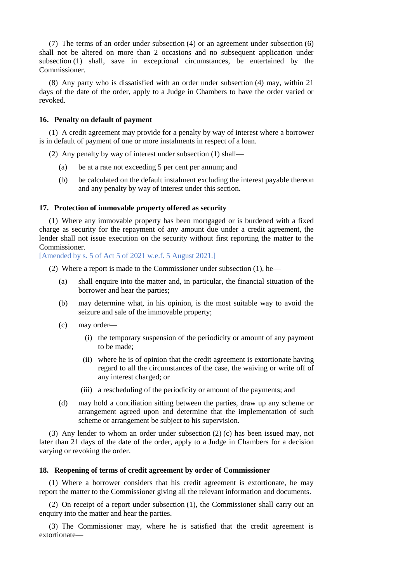(7) The terms of an order under subsection (4) or an agreement under subsection (6) shall not be altered on more than 2 occasions and no subsequent application under subsection (1) shall, save in exceptional circumstances, be entertained by the Commissioner.

(8) Any party who is dissatisfied with an order under subsection (4) may, within 21 days of the date of the order, apply to a Judge in Chambers to have the order varied or revoked.

## **16. Penalty on default of payment**

(1) A credit agreement may provide for a penalty by way of interest where a borrower is in default of payment of one or more instalments in respect of a loan.

(2) Any penalty by way of interest under subsection (1) shall—

- (a) be at a rate not exceeding 5 per cent per annum; and
- (b) be calculated on the default instalment excluding the interest payable thereon and any penalty by way of interest under this section.

### **17. Protection of immovable property offered as security**

(1) Where any immovable property has been mortgaged or is burdened with a fixed charge as security for the repayment of any amount due under a credit agreement, the lender shall not issue execution on the security without first reporting the matter to the Commissioner.

[Amended by s. 5 of Act 5 of 2021 w.e.f. 5 August 2021.]

(2) Where a report is made to the Commissioner under subsection (1), he—

- (a) shall enquire into the matter and, in particular, the financial situation of the borrower and hear the parties;
- (b) may determine what, in his opinion, is the most suitable way to avoid the seizure and sale of the immovable property;
- (c) may order—
	- (i) the temporary suspension of the periodicity or amount of any payment to be made;
	- (ii) where he is of opinion that the credit agreement is extortionate having regard to all the circumstances of the case, the waiving or write off of any interest charged; or
	- (iii) a rescheduling of the periodicity or amount of the payments; and
- (d) may hold a conciliation sitting between the parties, draw up any scheme or arrangement agreed upon and determine that the implementation of such scheme or arrangement be subject to his supervision.

(3) Any lender to whom an order under subsection (2) (c) has been issued may, not later than 21 days of the date of the order, apply to a Judge in Chambers for a decision varying or revoking the order.

#### **18. Reopening of terms of credit agreement by order of Commissioner**

(1) Where a borrower considers that his credit agreement is extortionate, he may report the matter to the Commissioner giving all the relevant information and documents.

(2) On receipt of a report under subsection (1), the Commissioner shall carry out an enquiry into the matter and hear the parties.

(3) The Commissioner may, where he is satisfied that the credit agreement is extortionate—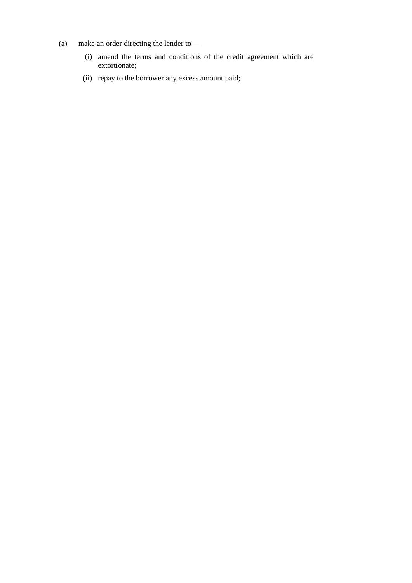- (a) make an order directing the lender to—
	- (i) amend the terms and conditions of the credit agreement which are extortionate;
	- (ii) repay to the borrower any excess amount paid;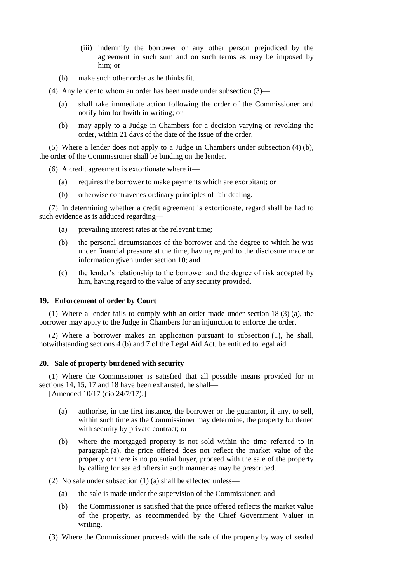- (iii) indemnify the borrower or any other person prejudiced by the agreement in such sum and on such terms as may be imposed by him; or
- (b) make such other order as he thinks fit.
- (4) Any lender to whom an order has been made under subsection (3)—
	- (a) shall take immediate action following the order of the Commissioner and notify him forthwith in writing; or
	- (b) may apply to a Judge in Chambers for a decision varying or revoking the order, within 21 days of the date of the issue of the order.

(5) Where a lender does not apply to a Judge in Chambers under subsection (4) (b), the order of the Commissioner shall be binding on the lender.

(6) A credit agreement is extortionate where it—

- (a) requires the borrower to make payments which are exorbitant; or
- (b) otherwise contravenes ordinary principles of fair dealing.

(7) In determining whether a credit agreement is extortionate, regard shall be had to such evidence as is adduced regarding—

- (a) prevailing interest rates at the relevant time;
- (b) the personal circumstances of the borrower and the degree to which he was under financial pressure at the time, having regard to the disclosure made or information given under section 10; and
- (c) the lender's relationship to the borrower and the degree of risk accepted by him, having regard to the value of any security provided.

#### **19. Enforcement of order by Court**

(1) Where a lender fails to comply with an order made under section 18 (3) (a), the borrower may apply to the Judge in Chambers for an injunction to enforce the order.

(2) Where a borrower makes an application pursuant to subsection (1), he shall, notwithstanding sections 4 (b) and 7 of the Legal Aid Act, be entitled to legal aid.

#### **20. Sale of property burdened with security**

(1) Where the Commissioner is satisfied that all possible means provided for in sections 14, 15, 17 and 18 have been exhausted, he shall—

[Amended 10/17 (cio 24/7/17).]

- (a) authorise, in the first instance, the borrower or the guarantor, if any, to sell, within such time as the Commissioner may determine, the property burdened with security by private contract; or
- (b) where the mortgaged property is not sold within the time referred to in paragraph (a), the price offered does not reflect the market value of the property or there is no potential buyer, proceed with the sale of the property by calling for sealed offers in such manner as may be prescribed.
- (2) No sale under subsection (1) (a) shall be effected unless—
	- (a) the sale is made under the supervision of the Commissioner; and
	- (b) the Commissioner is satisfied that the price offered reflects the market value of the property, as recommended by the Chief Government Valuer in writing.
- (3) Where the Commissioner proceeds with the sale of the property by way of sealed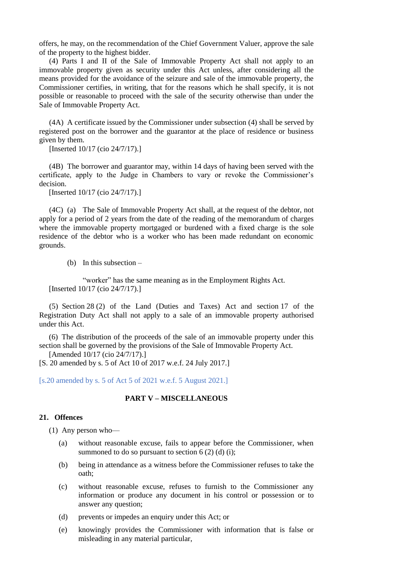offers, he may, on the recommendation of the Chief Government Valuer, approve the sale of the property to the highest bidder.

(4) Parts I and II of the Sale of Immovable Property Act shall not apply to an immovable property given as security under this Act unless, after considering all the means provided for the avoidance of the seizure and sale of the immovable property, the Commissioner certifies, in writing, that for the reasons which he shall specify, it is not possible or reasonable to proceed with the sale of the security otherwise than under the Sale of Immovable Property Act.

(4A) A certificate issued by the Commissioner under subsection (4) shall be served by registered post on the borrower and the guarantor at the place of residence or business given by them.

[Inserted 10/17 (cio 24/7/17).]

(4B) The borrower and guarantor may, within 14 days of having been served with the certificate, apply to the Judge in Chambers to vary or revoke the Commissioner's decision.

[Inserted 10/17 (cio 24/7/17).]

(4C) (a) The Sale of Immovable Property Act shall, at the request of the debtor, not apply for a period of 2 years from the date of the reading of the memorandum of charges where the immovable property mortgaged or burdened with a fixed charge is the sole residence of the debtor who is a worker who has been made redundant on economic grounds.

(b) In this subsection –

"worker" has the same meaning as in the Employment Rights Act. [Inserted 10/17 (cio 24/7/17).]

(5) Section 28 (2) of the Land (Duties and Taxes) Act and section 17 of the Registration Duty Act shall not apply to a sale of an immovable property authorised under this Act.

(6) The distribution of the proceeds of the sale of an immovable property under this section shall be governed by the provisions of the Sale of Immovable Property Act.

[Amended 10/17 (cio 24/7/17).]

[S. 20 amended by s. 5 of Act 10 of 2017 w.e.f. 24 July 2017.]

[s.20 amended by s. 5 of Act 5 of 2021 w.e.f. 5 August 2021.]

# **PART V – MISCELLANEOUS**

#### **21. Offences**

(1) Any person who—

- (a) without reasonable excuse, fails to appear before the Commissioner, when summoned to do so pursuant to section  $6(2)$  (d) (i);
- (b) being in attendance as a witness before the Commissioner refuses to take the oath;
- (c) without reasonable excuse, refuses to furnish to the Commissioner any information or produce any document in his control or possession or to answer any question;
- (d) prevents or impedes an enquiry under this Act; or
- (e) knowingly provides the Commissioner with information that is false or misleading in any material particular,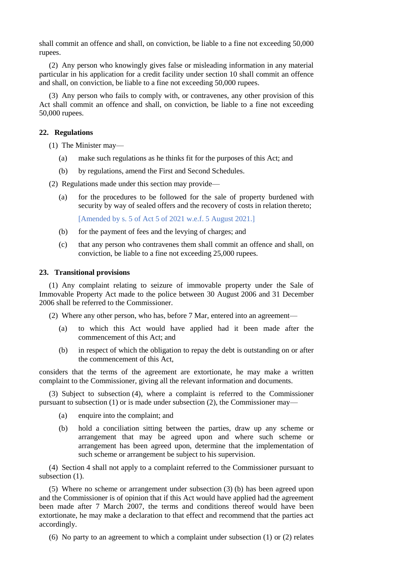shall commit an offence and shall, on conviction, be liable to a fine not exceeding 50,000 rupees.

(2) Any person who knowingly gives false or misleading information in any material particular in his application for a credit facility under section 10 shall commit an offence and shall, on conviction, be liable to a fine not exceeding 50,000 rupees.

(3) Any person who fails to comply with, or contravenes, any other provision of this Act shall commit an offence and shall, on conviction, be liable to a fine not exceeding 50,000 rupees.

# **22. Regulations**

(1) The Minister may—

- (a) make such regulations as he thinks fit for the purposes of this Act; and
- (b) by regulations, amend the First and Second Schedules.

(2) Regulations made under this section may provide—

(a) for the procedures to be followed for the sale of property burdened with security by way of sealed offers and the recovery of costs in relation thereto;

[Amended by s. 5 of Act 5 of 2021 w.e.f. 5 August 2021.]

- (b) for the payment of fees and the levying of charges; and
- (c) that any person who contravenes them shall commit an offence and shall, on conviction, be liable to a fine not exceeding 25,000 rupees.

## **23. Transitional provisions**

(1) Any complaint relating to seizure of immovable property under the Sale of Immovable Property Act made to the police between 30 August 2006 and 31 December 2006 shall be referred to the Commissioner.

(2) Where any other person, who has, before 7 Mar, entered into an agreement—

- (a) to which this Act would have applied had it been made after the commencement of this Act; and
- (b) in respect of which the obligation to repay the debt is outstanding on or after the commencement of this Act,

considers that the terms of the agreement are extortionate, he may make a written complaint to the Commissioner, giving all the relevant information and documents.

(3) Subject to subsection (4), where a complaint is referred to the Commissioner pursuant to subsection (1) or is made under subsection (2), the Commissioner may—

- (a) enquire into the complaint; and
- (b) hold a conciliation sitting between the parties, draw up any scheme or arrangement that may be agreed upon and where such scheme or arrangement has been agreed upon, determine that the implementation of such scheme or arrangement be subject to his supervision.

(4) Section 4 shall not apply to a complaint referred to the Commissioner pursuant to subsection  $(1)$ .

(5) Where no scheme or arrangement under subsection (3) (b) has been agreed upon and the Commissioner is of opinion that if this Act would have applied had the agreement been made after 7 March 2007, the terms and conditions thereof would have been extortionate, he may make a declaration to that effect and recommend that the parties act accordingly.

(6) No party to an agreement to which a complaint under subsection (1) or (2) relates